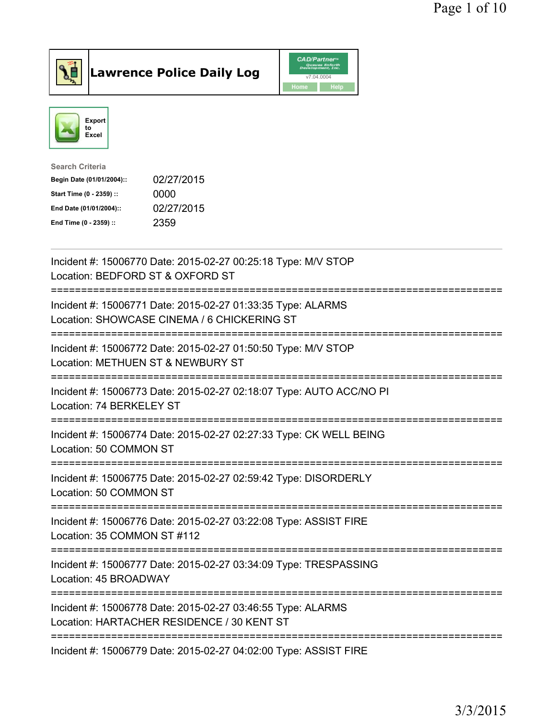



| 02/27/2015 |
|------------|
|            |
| 02/27/2015 |
|            |
|            |

| Incident #: 15006770 Date: 2015-02-27 00:25:18 Type: M/V STOP<br>Location: BEDFORD ST & OXFORD ST                                   |
|-------------------------------------------------------------------------------------------------------------------------------------|
| Incident #: 15006771 Date: 2015-02-27 01:33:35 Type: ALARMS<br>Location: SHOWCASE CINEMA / 6 CHICKERING ST<br>----------            |
| Incident #: 15006772 Date: 2015-02-27 01:50:50 Type: M/V STOP<br>Location: METHUEN ST & NEWBURY ST                                  |
| Incident #: 15006773 Date: 2015-02-27 02:18:07 Type: AUTO ACC/NO PI<br>Location: 74 BERKELEY ST                                     |
| Incident #: 15006774 Date: 2015-02-27 02:27:33 Type: CK WELL BEING<br>Location: 50 COMMON ST<br>----------------------------------- |
| Incident #: 15006775 Date: 2015-02-27 02:59:42 Type: DISORDERLY<br>Location: 50 COMMON ST                                           |
| Incident #: 15006776 Date: 2015-02-27 03:22:08 Type: ASSIST FIRE<br>Location: 35 COMMON ST #112                                     |
| Incident #: 15006777 Date: 2015-02-27 03:34:09 Type: TRESPASSING<br>Location: 45 BROADWAY                                           |
| Incident #: 15006778 Date: 2015-02-27 03:46:55 Type: ALARMS<br>Location: HARTACHER RESIDENCE / 30 KENT ST                           |
| ====================================<br>Incident #: 15006779 Date: 2015-02-27 04:02:00 Type: ASSIST FIRE                            |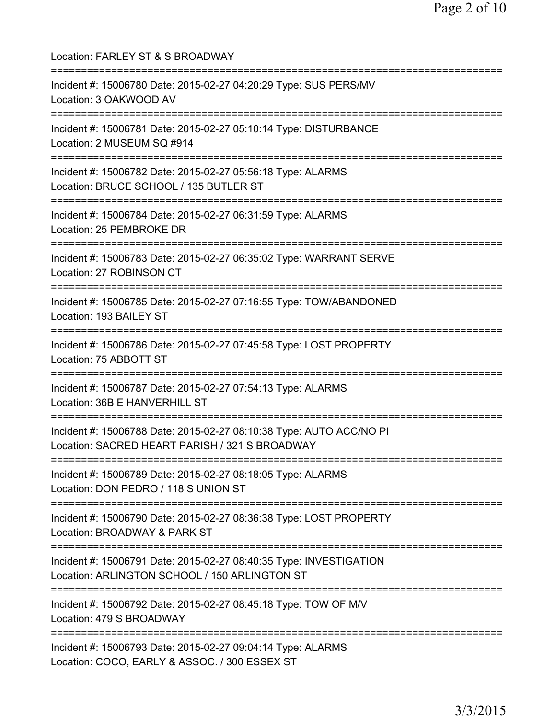Location: FARLEY ST & S BROADWAY =========================================================================== Incident #: 15006780 Date: 2015-02-27 04:20:29 Type: SUS PERS/MV Location: 3 OAKWOOD AV =========================================================================== Incident #: 15006781 Date: 2015-02-27 05:10:14 Type: DISTURBANCE Location: 2 MUSEUM SQ #914 =========================================================================== Incident #: 15006782 Date: 2015-02-27 05:56:18 Type: ALARMS Location: BRUCE SCHOOL / 135 BUTLER ST =========================================================================== Incident #: 15006784 Date: 2015-02-27 06:31:59 Type: ALARMS Location: 25 PEMBROKE DR =========================================================================== Incident #: 15006783 Date: 2015-02-27 06:35:02 Type: WARRANT SERVE Location: 27 ROBINSON CT =========================================================================== Incident #: 15006785 Date: 2015-02-27 07:16:55 Type: TOW/ABANDONED Location: 193 BAILEY ST =========================================================================== Incident #: 15006786 Date: 2015-02-27 07:45:58 Type: LOST PROPERTY Location: 75 ABBOTT ST =========================================================================== Incident #: 15006787 Date: 2015-02-27 07:54:13 Type: ALARMS Location: 36B E HANVERHILL ST =========================================================================== Incident #: 15006788 Date: 2015-02-27 08:10:38 Type: AUTO ACC/NO PI Location: SACRED HEART PARISH / 321 S BROADWAY =========================================================================== Incident #: 15006789 Date: 2015-02-27 08:18:05 Type: ALARMS Location: DON PEDRO / 118 S UNION ST =========================================================================== Incident #: 15006790 Date: 2015-02-27 08:36:38 Type: LOST PROPERTY Location: BROADWAY & PARK ST =========================================================================== Incident #: 15006791 Date: 2015-02-27 08:40:35 Type: INVESTIGATION Location: ARLINGTON SCHOOL / 150 ARLINGTON ST =========================================================================== Incident #: 15006792 Date: 2015-02-27 08:45:18 Type: TOW OF M/V Location: 479 S BROADWAY =========================================================================== Incident #: 15006793 Date: 2015-02-27 09:04:14 Type: ALARMS Location: COCO, EARLY & ASSOC. / 300 ESSEX ST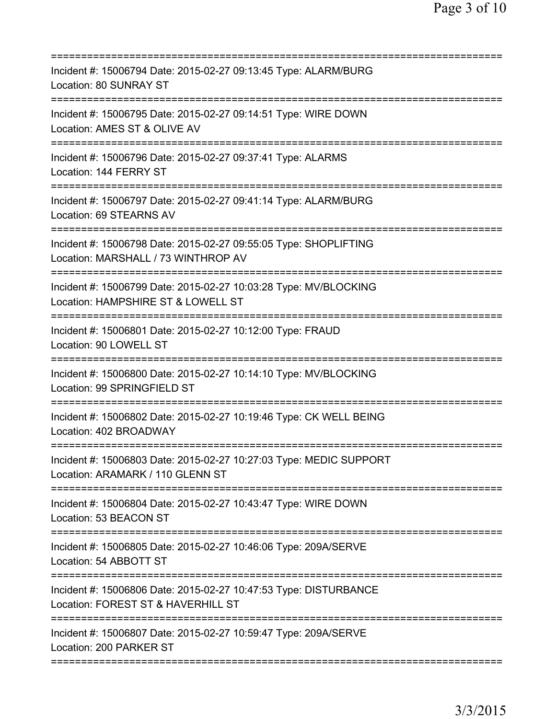| Incident #: 15006794 Date: 2015-02-27 09:13:45 Type: ALARM/BURG<br>Location: 80 SUNRAY ST                          |
|--------------------------------------------------------------------------------------------------------------------|
| Incident #: 15006795 Date: 2015-02-27 09:14:51 Type: WIRE DOWN<br>Location: AMES ST & OLIVE AV                     |
| Incident #: 15006796 Date: 2015-02-27 09:37:41 Type: ALARMS<br>Location: 144 FERRY ST                              |
| Incident #: 15006797 Date: 2015-02-27 09:41:14 Type: ALARM/BURG<br>Location: 69 STEARNS AV                         |
| Incident #: 15006798 Date: 2015-02-27 09:55:05 Type: SHOPLIFTING<br>Location: MARSHALL / 73 WINTHROP AV            |
| Incident #: 15006799 Date: 2015-02-27 10:03:28 Type: MV/BLOCKING<br>Location: HAMPSHIRE ST & LOWELL ST             |
| Incident #: 15006801 Date: 2015-02-27 10:12:00 Type: FRAUD<br>Location: 90 LOWELL ST                               |
| Incident #: 15006800 Date: 2015-02-27 10:14:10 Type: MV/BLOCKING<br>Location: 99 SPRINGFIELD ST<br>=============== |
| Incident #: 15006802 Date: 2015-02-27 10:19:46 Type: CK WELL BEING<br>Location: 402 BROADWAY                       |
| Incident #: 15006803 Date: 2015-02-27 10:27:03 Type: MEDIC SUPPORT<br>Location: ARAMARK / 110 GLENN ST             |
| Incident #: 15006804 Date: 2015-02-27 10:43:47 Type: WIRE DOWN<br>Location: 53 BEACON ST                           |
| Incident #: 15006805 Date: 2015-02-27 10:46:06 Type: 209A/SERVE<br>Location: 54 ABBOTT ST                          |
| Incident #: 15006806 Date: 2015-02-27 10:47:53 Type: DISTURBANCE<br>Location: FOREST ST & HAVERHILL ST             |
| Incident #: 15006807 Date: 2015-02-27 10:59:47 Type: 209A/SERVE<br>Location: 200 PARKER ST                         |
|                                                                                                                    |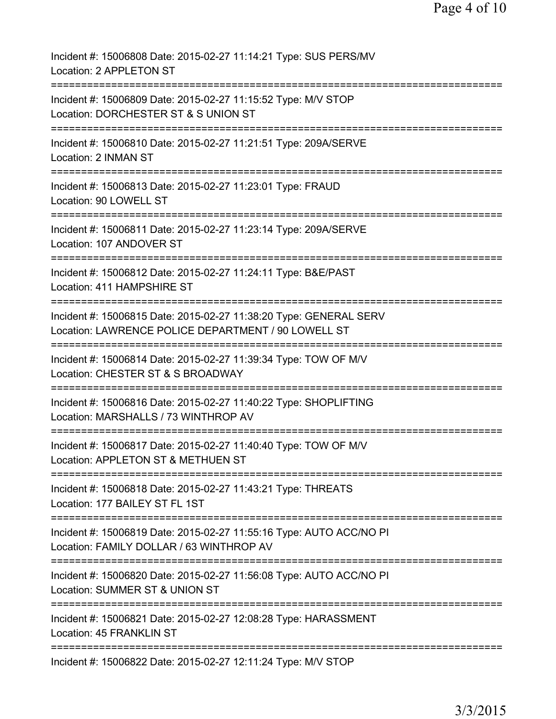| Incident #: 15006808 Date: 2015-02-27 11:14:21 Type: SUS PERS/MV<br>Location: 2 APPLETON ST                              |
|--------------------------------------------------------------------------------------------------------------------------|
| Incident #: 15006809 Date: 2015-02-27 11:15:52 Type: M/V STOP<br>Location: DORCHESTER ST & S UNION ST                    |
| Incident #: 15006810 Date: 2015-02-27 11:21:51 Type: 209A/SERVE<br>Location: 2 INMAN ST                                  |
| Incident #: 15006813 Date: 2015-02-27 11:23:01 Type: FRAUD<br>Location: 90 LOWELL ST                                     |
| Incident #: 15006811 Date: 2015-02-27 11:23:14 Type: 209A/SERVE<br>Location: 107 ANDOVER ST                              |
| Incident #: 15006812 Date: 2015-02-27 11:24:11 Type: B&E/PAST<br>Location: 411 HAMPSHIRE ST                              |
| Incident #: 15006815 Date: 2015-02-27 11:38:20 Type: GENERAL SERV<br>Location: LAWRENCE POLICE DEPARTMENT / 90 LOWELL ST |
| Incident #: 15006814 Date: 2015-02-27 11:39:34 Type: TOW OF M/V<br>Location: CHESTER ST & S BROADWAY                     |
| Incident #: 15006816 Date: 2015-02-27 11:40:22 Type: SHOPLIFTING<br>Location: MARSHALLS / 73 WINTHROP AV                 |
| Incident #: 15006817 Date: 2015-02-27 11:40:40 Type: TOW OF M/V<br>Location: APPLETON ST & METHUEN ST                    |
| Incident #: 15006818 Date: 2015-02-27 11:43:21 Type: THREATS<br>Location: 177 BAILEY ST FL 1ST                           |
| Incident #: 15006819 Date: 2015-02-27 11:55:16 Type: AUTO ACC/NO PI<br>Location: FAMILY DOLLAR / 63 WINTHROP AV          |
| Incident #: 15006820 Date: 2015-02-27 11:56:08 Type: AUTO ACC/NO PI<br>Location: SUMMER ST & UNION ST                    |
| Incident #: 15006821 Date: 2015-02-27 12:08:28 Type: HARASSMENT<br>Location: 45 FRANKLIN ST                              |
| Incident #: 15006822 Date: 2015-02-27 12:11:24 Type: M/V STOP                                                            |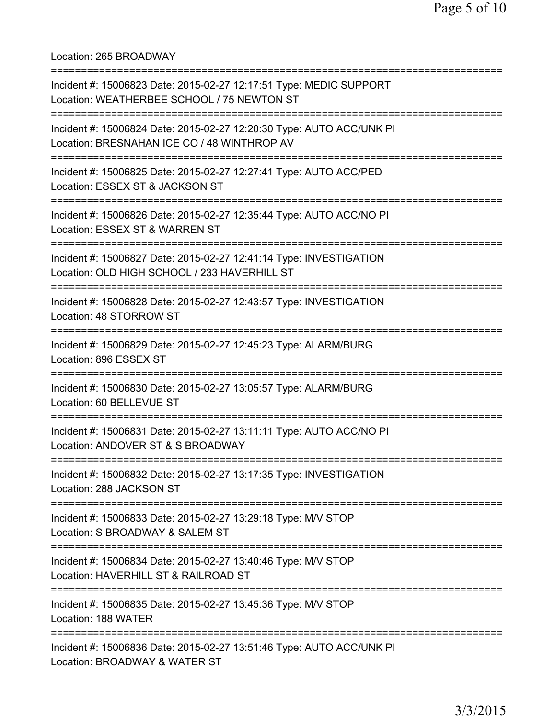Location: 265 BROADWAY

| Incident #: 15006823 Date: 2015-02-27 12:17:51 Type: MEDIC SUPPORT<br>Location: WEATHERBEE SCHOOL / 75 NEWTON ST                                          |
|-----------------------------------------------------------------------------------------------------------------------------------------------------------|
| Incident #: 15006824 Date: 2015-02-27 12:20:30 Type: AUTO ACC/UNK PI<br>Location: BRESNAHAN ICE CO / 48 WINTHROP AV                                       |
| Incident #: 15006825 Date: 2015-02-27 12:27:41 Type: AUTO ACC/PED<br>Location: ESSEX ST & JACKSON ST                                                      |
| Incident #: 15006826 Date: 2015-02-27 12:35:44 Type: AUTO ACC/NO PI<br>Location: ESSEX ST & WARREN ST                                                     |
| Incident #: 15006827 Date: 2015-02-27 12:41:14 Type: INVESTIGATION<br>Location: OLD HIGH SCHOOL / 233 HAVERHILL ST<br>=================================== |
| Incident #: 15006828 Date: 2015-02-27 12:43:57 Type: INVESTIGATION<br>Location: 48 STORROW ST<br>==============                                           |
| Incident #: 15006829 Date: 2015-02-27 12:45:23 Type: ALARM/BURG<br>Location: 896 ESSEX ST                                                                 |
| Incident #: 15006830 Date: 2015-02-27 13:05:57 Type: ALARM/BURG<br>Location: 60 BELLEVUE ST<br>------------                                               |
| Incident #: 15006831 Date: 2015-02-27 13:11:11 Type: AUTO ACC/NO PI<br>Location: ANDOVER ST & S BROADWAY                                                  |
| Incident #: 15006832 Date: 2015-02-27 13:17:35 Type: INVESTIGATION<br>Location: 288 JACKSON ST                                                            |
| Incident #: 15006833 Date: 2015-02-27 13:29:18 Type: M/V STOP<br>Location: S BROADWAY & SALEM ST                                                          |
| Incident #: 15006834 Date: 2015-02-27 13:40:46 Type: M/V STOP<br>Location: HAVERHILL ST & RAILROAD ST                                                     |
| ================================<br>Incident #: 15006835 Date: 2015-02-27 13:45:36 Type: M/V STOP<br>Location: 188 WATER                                  |
| Incident #: 15006836 Date: 2015-02-27 13:51:46 Type: AUTO ACC/UNK PI<br>Location: BROADWAY & WATER ST                                                     |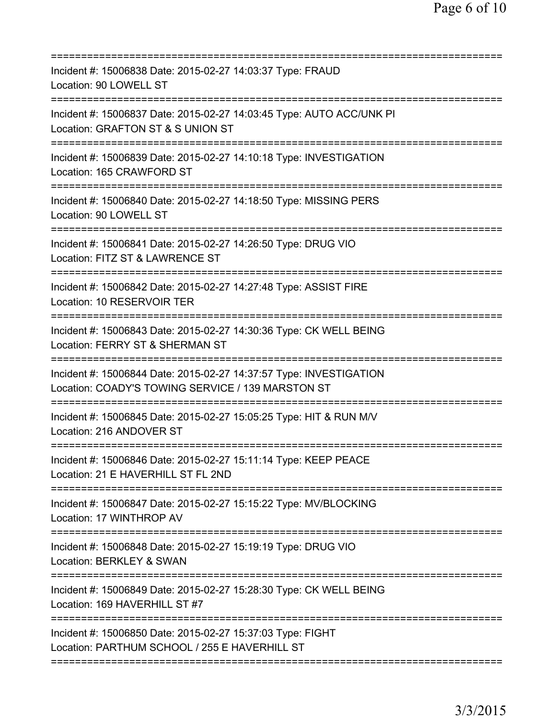| Incident #: 15006838 Date: 2015-02-27 14:03:37 Type: FRAUD<br>Location: 90 LOWELL ST                                                                      |
|-----------------------------------------------------------------------------------------------------------------------------------------------------------|
| Incident #: 15006837 Date: 2015-02-27 14:03:45 Type: AUTO ACC/UNK PI<br>Location: GRAFTON ST & S UNION ST                                                 |
| Incident #: 15006839 Date: 2015-02-27 14:10:18 Type: INVESTIGATION<br>Location: 165 CRAWFORD ST                                                           |
| Incident #: 15006840 Date: 2015-02-27 14:18:50 Type: MISSING PERS<br>Location: 90 LOWELL ST                                                               |
| Incident #: 15006841 Date: 2015-02-27 14:26:50 Type: DRUG VIO<br>Location: FITZ ST & LAWRENCE ST                                                          |
| =========================<br>Incident #: 15006842 Date: 2015-02-27 14:27:48 Type: ASSIST FIRE<br>Location: 10 RESERVOIR TER                               |
| Incident #: 15006843 Date: 2015-02-27 14:30:36 Type: CK WELL BEING<br>Location: FERRY ST & SHERMAN ST                                                     |
| Incident #: 15006844 Date: 2015-02-27 14:37:57 Type: INVESTIGATION<br>Location: COADY'S TOWING SERVICE / 139 MARSTON ST<br>;============================= |
| Incident #: 15006845 Date: 2015-02-27 15:05:25 Type: HIT & RUN M/V<br>Location: 216 ANDOVER ST                                                            |
| Incident #: 15006846 Date: 2015-02-27 15:11:14 Type: KEEP PEACE<br>Location: 21 E HAVERHILL ST FL 2ND                                                     |
| Incident #: 15006847 Date: 2015-02-27 15:15:22 Type: MV/BLOCKING<br>Location: 17 WINTHROP AV                                                              |
| Incident #: 15006848 Date: 2015-02-27 15:19:19 Type: DRUG VIO<br>Location: BERKLEY & SWAN                                                                 |
| Incident #: 15006849 Date: 2015-02-27 15:28:30 Type: CK WELL BEING<br>Location: 169 HAVERHILL ST #7                                                       |
| Incident #: 15006850 Date: 2015-02-27 15:37:03 Type: FIGHT<br>Location: PARTHUM SCHOOL / 255 E HAVERHILL ST                                               |
|                                                                                                                                                           |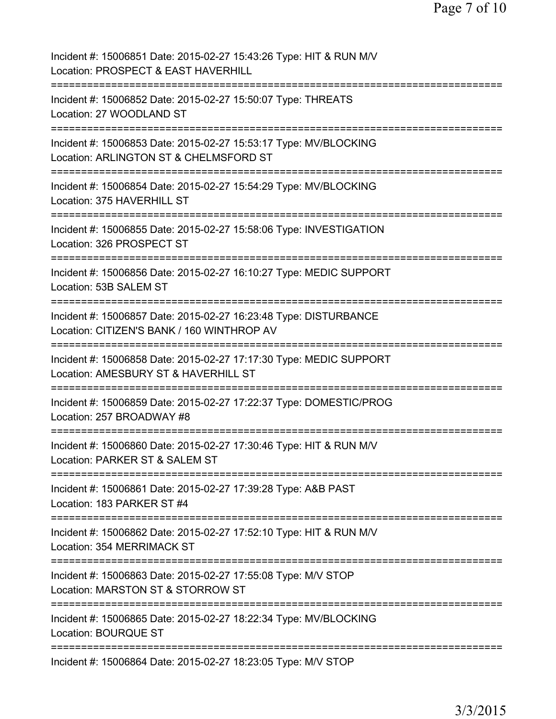| Incident #: 15006851 Date: 2015-02-27 15:43:26 Type: HIT & RUN M/V<br>Location: PROSPECT & EAST HAVERHILL<br>======================== |
|---------------------------------------------------------------------------------------------------------------------------------------|
| Incident #: 15006852 Date: 2015-02-27 15:50:07 Type: THREATS<br>Location: 27 WOODLAND ST<br>;==================================       |
| Incident #: 15006853 Date: 2015-02-27 15:53:17 Type: MV/BLOCKING<br>Location: ARLINGTON ST & CHELMSFORD ST                            |
| Incident #: 15006854 Date: 2015-02-27 15:54:29 Type: MV/BLOCKING<br>Location: 375 HAVERHILL ST                                        |
| Incident #: 15006855 Date: 2015-02-27 15:58:06 Type: INVESTIGATION<br>Location: 326 PROSPECT ST                                       |
| Incident #: 15006856 Date: 2015-02-27 16:10:27 Type: MEDIC SUPPORT<br>Location: 53B SALEM ST<br>.===================================  |
| Incident #: 15006857 Date: 2015-02-27 16:23:48 Type: DISTURBANCE<br>Location: CITIZEN'S BANK / 160 WINTHROP AV                        |
| Incident #: 15006858 Date: 2015-02-27 17:17:30 Type: MEDIC SUPPORT<br>Location: AMESBURY ST & HAVERHILL ST                            |
| Incident #: 15006859 Date: 2015-02-27 17:22:37 Type: DOMESTIC/PROG<br>Location: 257 BROADWAY #8<br>================================== |
| Incident #: 15006860 Date: 2015-02-27 17:30:46 Type: HIT & RUN M/V<br>Location: PARKER ST & SALEM ST                                  |
| Incident #: 15006861 Date: 2015-02-27 17:39:28 Type: A&B PAST<br>Location: 183 PARKER ST #4                                           |
| Incident #: 15006862 Date: 2015-02-27 17:52:10 Type: HIT & RUN M/V<br>Location: 354 MERRIMACK ST                                      |
| Incident #: 15006863 Date: 2015-02-27 17:55:08 Type: M/V STOP<br>Location: MARSTON ST & STORROW ST                                    |
| Incident #: 15006865 Date: 2015-02-27 18:22:34 Type: MV/BLOCKING<br><b>Location: BOURQUE ST</b>                                       |
| Incident #: 15006864 Date: 2015-02-27 18:23:05 Type: M/V STOP                                                                         |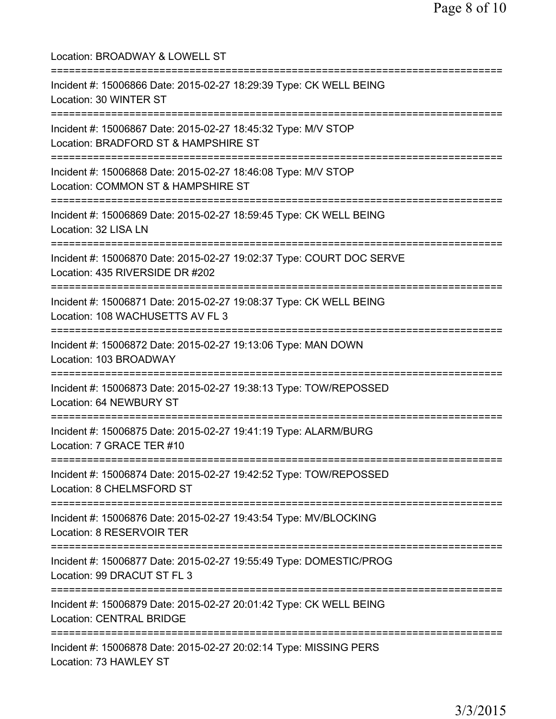Location: BROADWAY & LOWELL ST =========================================================================== Incident #: 15006866 Date: 2015-02-27 18:29:39 Type: CK WELL BEING Location: 30 WINTER ST =========================================================================== Incident #: 15006867 Date: 2015-02-27 18:45:32 Type: M/V STOP Location: BRADFORD ST & HAMPSHIRE ST =========================================================================== Incident #: 15006868 Date: 2015-02-27 18:46:08 Type: M/V STOP Location: COMMON ST & HAMPSHIRE ST =========================================================================== Incident #: 15006869 Date: 2015-02-27 18:59:45 Type: CK WELL BEING Location: 32 LISA LN =========================================================================== Incident #: 15006870 Date: 2015-02-27 19:02:37 Type: COURT DOC SERVE Location: 435 RIVERSIDE DR #202 =========================================================================== Incident #: 15006871 Date: 2015-02-27 19:08:37 Type: CK WELL BEING Location: 108 WACHUSETTS AV FL 3 =========================================================================== Incident #: 15006872 Date: 2015-02-27 19:13:06 Type: MAN DOWN Location: 103 BROADWAY =========================================================================== Incident #: 15006873 Date: 2015-02-27 19:38:13 Type: TOW/REPOSSED Location: 64 NEWBURY ST =========================================================================== Incident #: 15006875 Date: 2015-02-27 19:41:19 Type: ALARM/BURG Location: 7 GRACE TER #10 =========================================================================== Incident #: 15006874 Date: 2015-02-27 19:42:52 Type: TOW/REPOSSED Location: 8 CHELMSFORD ST =========================================================================== Incident #: 15006876 Date: 2015-02-27 19:43:54 Type: MV/BLOCKING Location: 8 RESERVOIR TER =========================================================================== Incident #: 15006877 Date: 2015-02-27 19:55:49 Type: DOMESTIC/PROG Location: 99 DRACUT ST FL 3 =========================================================================== Incident #: 15006879 Date: 2015-02-27 20:01:42 Type: CK WELL BEING Location: CENTRAL BRIDGE =========================================================================== Incident #: 15006878 Date: 2015-02-27 20:02:14 Type: MISSING PERS Location: 73 HAWLEY ST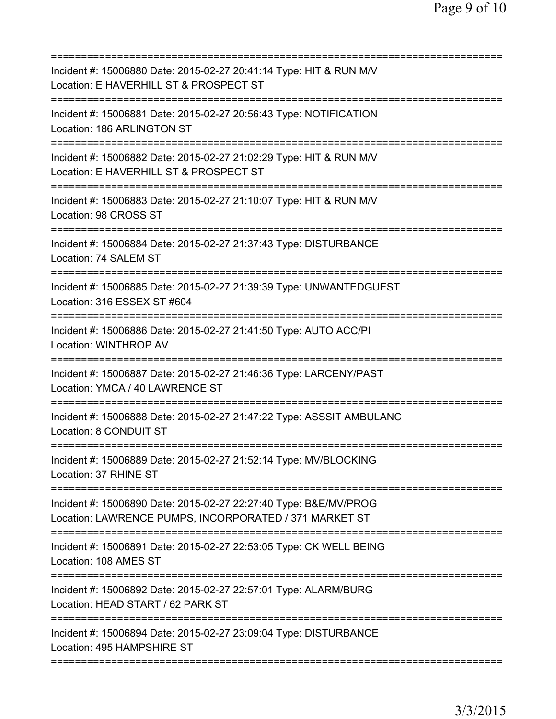| Incident #: 15006880 Date: 2015-02-27 20:41:14 Type: HIT & RUN M/V<br>Location: E HAVERHILL ST & PROSPECT ST                                              |
|-----------------------------------------------------------------------------------------------------------------------------------------------------------|
| Incident #: 15006881 Date: 2015-02-27 20:56:43 Type: NOTIFICATION<br>Location: 186 ARLINGTON ST                                                           |
| Incident #: 15006882 Date: 2015-02-27 21:02:29 Type: HIT & RUN M/V<br>Location: E HAVERHILL ST & PROSPECT ST                                              |
| Incident #: 15006883 Date: 2015-02-27 21:10:07 Type: HIT & RUN M/V<br>Location: 98 CROSS ST                                                               |
| Incident #: 15006884 Date: 2015-02-27 21:37:43 Type: DISTURBANCE<br>Location: 74 SALEM ST                                                                 |
| Incident #: 15006885 Date: 2015-02-27 21:39:39 Type: UNWANTEDGUEST<br>Location: 316 ESSEX ST #604                                                         |
| Incident #: 15006886 Date: 2015-02-27 21:41:50 Type: AUTO ACC/PI<br><b>Location: WINTHROP AV</b>                                                          |
| Incident #: 15006887 Date: 2015-02-27 21:46:36 Type: LARCENY/PAST<br>Location: YMCA / 40 LAWRENCE ST                                                      |
| Incident #: 15006888 Date: 2015-02-27 21:47:22 Type: ASSSIT AMBULANC<br>Location: 8 CONDUIT ST                                                            |
| Incident #: 15006889 Date: 2015-02-27 21:52:14 Type: MV/BLOCKING<br>Location: 37 RHINE ST                                                                 |
| ===========================<br>Incident #: 15006890 Date: 2015-02-27 22:27:40 Type: B&E/MV/PROG<br>Location: LAWRENCE PUMPS, INCORPORATED / 371 MARKET ST |
| Incident #: 15006891 Date: 2015-02-27 22:53:05 Type: CK WELL BEING<br>Location: 108 AMES ST                                                               |
| Incident #: 15006892 Date: 2015-02-27 22:57:01 Type: ALARM/BURG<br>Location: HEAD START / 62 PARK ST                                                      |
| Incident #: 15006894 Date: 2015-02-27 23:09:04 Type: DISTURBANCE<br>Location: 495 HAMPSHIRE ST                                                            |
|                                                                                                                                                           |